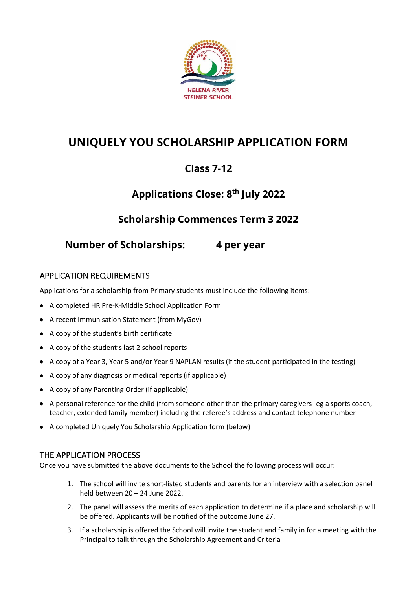

# **UNIQUELY YOU SCHOLARSHIP APPLICATION FORM**

## **Class 7-12**

## **Applications Close: 8 th July 2022**

### **Scholarship Commences Term 3 2022**

**Number of Scholarships: 4 per year** 

#### APPLICATION REQUIREMENTS

Applications for a scholarship from Primary students must include the following items:

- A completed HR Pre-K-Middle School Application Form
- A recent Immunisation Statement (from MyGov)
- A copy of the student's birth certificate
- A copy of the student's last 2 school reports
- A copy of a Year 3, Year 5 and/or Year 9 NAPLAN results (if the student participated in the testing)
- A copy of any diagnosis or medical reports (if applicable)
- A copy of any Parenting Order (if applicable)
- A personal reference for the child (from someone other than the primary caregivers -eg a sports coach, teacher, extended family member) including the referee's address and contact telephone number
- A completed Uniquely You Scholarship Application form (below)

#### THE APPLICATION PROCESS

Once you have submitted the above documents to the School the following process will occur:

- 1. The school will invite short-listed students and parents for an interview with a selection panel held between 20 – 24 June 2022.
- 2. The panel will assess the merits of each application to determine if a place and scholarship will be offered. Applicants will be notified of the outcome June 27.
- 3. If a scholarship is offered the School will invite the student and family in for a meeting with the Principal to talk through the Scholarship Agreement and Criteria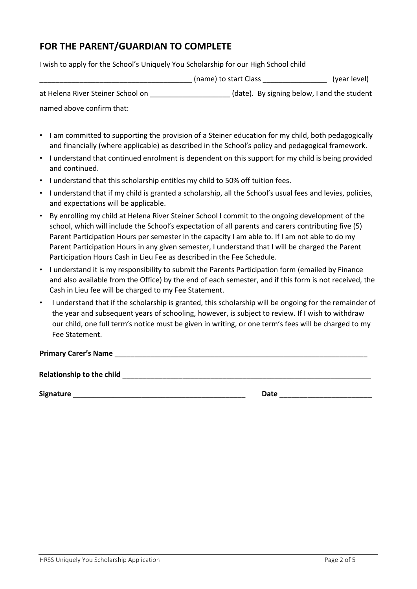### **FOR THE PARENT/GUARDIAN TO COMPLETE**

I wish to apply for the School's Uniquely You Scholarship for our High School child

|                | (name) to start Class | (year level)                                                    |
|----------------|-----------------------|-----------------------------------------------------------------|
| $\blacksquare$ |                       | $\mathbf{1}$ . The state of the state of the state $\mathbf{1}$ |

at Helena River Steiner School on **the state of the student** (date). By signing below, I and the student

named above confirm that:

- I am committed to supporting the provision of a Steiner education for my child, both pedagogically and financially (where applicable) as described in the School's policy and pedagogical framework.
- I understand that continued enrolment is dependent on this support for my child is being provided and continued.
- I understand that this scholarship entitles my child to 50% off tuition fees.
- I understand that if my child is granted a scholarship, all the School's usual fees and levies, policies, and expectations will be applicable.
- By enrolling my child at Helena River Steiner School I commit to the ongoing development of the school, which will include the School's expectation of all parents and carers contributing five (5) Parent Participation Hours per semester in the capacity I am able to. If I am not able to do my Parent Participation Hours in any given semester, I understand that I will be charged the Parent Participation Hours Cash in Lieu Fee as described in the Fee Schedule.
- I understand it is my responsibility to submit the Parents Participation form (emailed by Finance and also available from the Office) by the end of each semester, and if this form is not received, the Cash in Lieu fee will be charged to my Fee Statement.
- I understand that if the scholarship is granted, this scholarship will be ongoing for the remainder of the year and subsequent years of schooling, however, is subject to review. If I wish to withdraw our child, one full term's notice must be given in writing, or one term's fees will be charged to my Fee Statement.

**Primary Carer's Name** \_\_\_\_\_\_\_\_\_\_\_\_\_\_\_\_\_\_\_\_\_\_\_\_\_\_\_\_\_\_\_\_\_\_\_\_\_\_\_\_\_\_\_\_\_\_\_\_\_\_\_\_\_\_\_\_\_\_\_\_\_\_\_

**Relationship to the child** \_\_\_\_\_\_\_\_\_\_\_\_\_\_\_\_\_\_\_\_\_\_\_\_\_\_\_\_\_\_\_\_\_\_\_\_\_\_\_\_\_\_\_\_\_\_\_\_\_\_\_\_\_\_\_\_\_\_\_\_\_\_

**Signature** \_\_\_\_\_\_\_\_\_\_\_\_\_\_\_\_\_\_\_\_\_\_\_\_\_\_\_\_\_\_\_\_\_\_\_\_\_\_\_\_\_\_\_ **Date** \_\_\_\_\_\_\_\_\_\_\_\_\_\_\_\_\_\_\_\_\_\_\_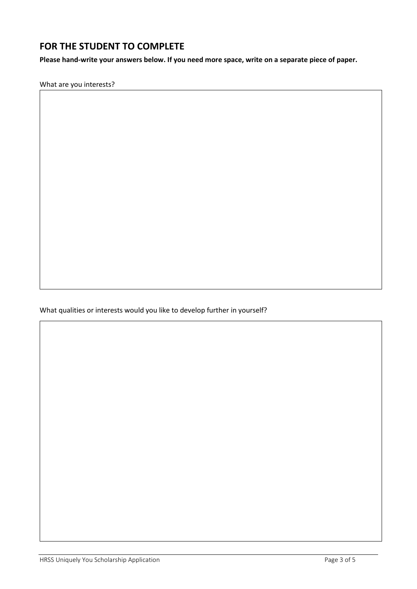#### **FOR THE STUDENT TO COMPLETE**

**Please hand-write your answers below. If you need more space, write on a separate piece of paper.**

What are you interests?

What qualities or interests would you like to develop further in yourself?